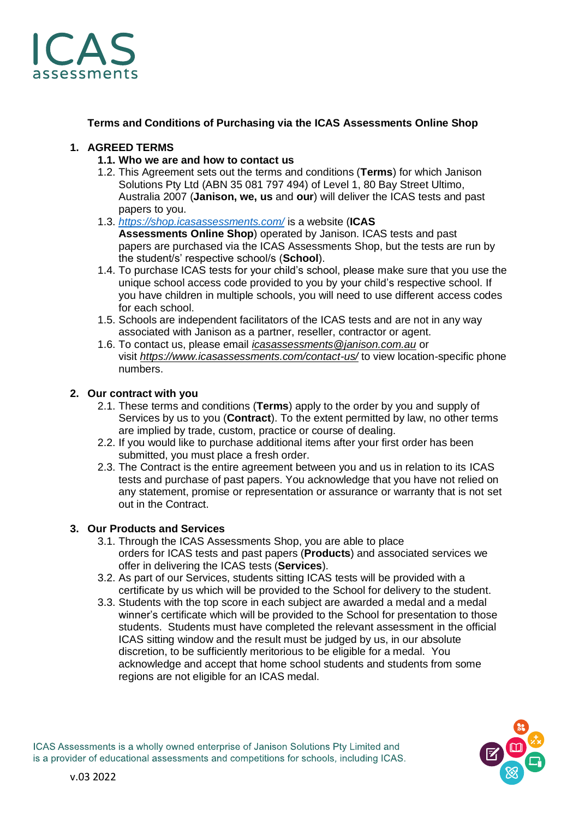

**Terms and Conditions of Purchasing via the ICAS Assessments Online Shop**

# **1. AGREED TERMS**

- **1.1. Who we are and how to contact us**
- 1.2. This Agreement sets out the terms and conditions (**Terms**) for which Janison Solutions Pty Ltd (ABN 35 081 797 494) of Level 1, 80 Bay Street Ultimo, Australia 2007 (**Janison, we, us** and **our**) will deliver the ICAS tests and past papers to you.
- 1.3. *<https://shop.icasassessments.com/>* is a website (**ICAS Assessments Online Shop**) operated by Janison. ICAS tests and past papers are purchased via the ICAS Assessments Shop, but the tests are run by the student/s' respective school/s (**School**).
- 1.4. To purchase ICAS tests for your child's school, please make sure that you use the unique school access code provided to you by your child's respective school. If you have children in multiple schools, you will need to use different access codes for each school.
- 1.5. Schools are independent facilitators of the ICAS tests and are not in any way associated with Janison as a partner, reseller, contractor or agent.
- 1.6. To contact us, please email *[icasassessments@janison.com.au](mailto:icasassessments@janison.com.au)* or visit *<https://www.icasassessments.com/contact-us/>* to view location-specific phone numbers.

# **2. Our contract with you**

- 2.1. These terms and conditions (**Terms**) apply to the order by you and supply of Services by us to you (**Contract**). To the extent permitted by law, no other terms are implied by trade, custom, practice or course of dealing.
- 2.2. If you would like to purchase additional items after your first order has been submitted, you must place a fresh order.
- 2.3. The Contract is the entire agreement between you and us in relation to its ICAS tests and purchase of past papers. You acknowledge that you have not relied on any statement, promise or representation or assurance or warranty that is not set out in the Contract.

# **3. Our Products and Services**

- 3.1. Through the ICAS Assessments Shop, you are able to place orders for ICAS tests and past papers (**Products**) and associated services we offer in delivering the ICAS tests (**Services**).
- 3.2. As part of our Services, students sitting ICAS tests will be provided with a certificate by us which will be provided to the School for delivery to the student.
- 3.3. Students with the top score in each subject are awarded a medal and a medal winner's certificate which will be provided to the School for presentation to those students. Students must have completed the relevant assessment in the official ICAS sitting window and the result must be judged by us, in our absolute discretion, to be sufficiently meritorious to be eligible for a medal. You acknowledge and accept that home school students and students from some regions are not eligible for an ICAS medal.

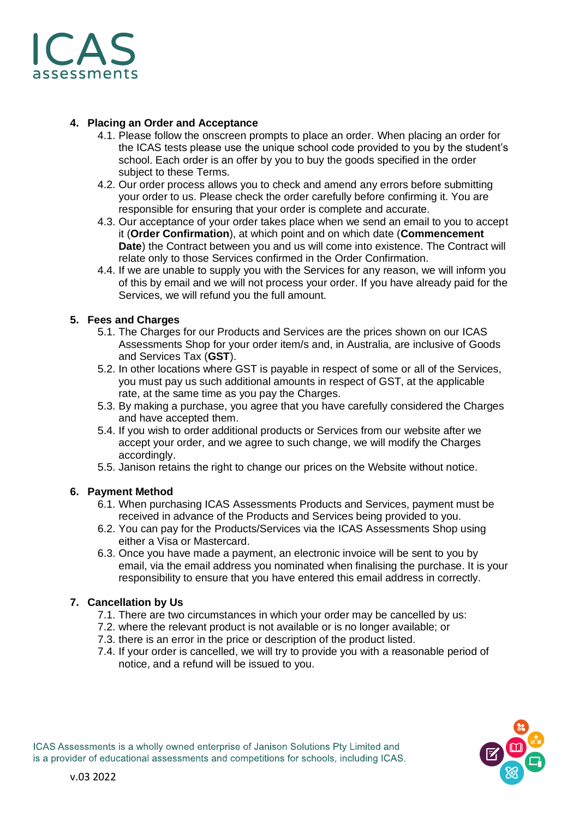

## **4. Placing an Order and Acceptance**

- 4.1. Please follow the onscreen prompts to place an order. When placing an order for the ICAS tests please use the unique school code provided to you by the student's school. Each order is an offer by you to buy the goods specified in the order subject to these Terms.
- 4.2. Our order process allows you to check and amend any errors before submitting your order to us. Please check the order carefully before confirming it. You are responsible for ensuring that your order is complete and accurate.
- 4.3. Our acceptance of your order takes place when we send an email to you to accept it (**Order Confirmation**), at which point and on which date (**Commencement Date**) the Contract between you and us will come into existence. The Contract will relate only to those Services confirmed in the Order Confirmation.
- 4.4. If we are unable to supply you with the Services for any reason, we will inform you of this by email and we will not process your order. If you have already paid for the Services, we will refund you the full amount.

# **5. Fees and Charges**

- 5.1. The Charges for our Products and Services are the prices shown on our ICAS Assessments Shop for your order item/s and, in Australia, are inclusive of Goods and Services Tax (**GST**).
- 5.2. In other locations where GST is payable in respect of some or all of the Services, you must pay us such additional amounts in respect of GST, at the applicable rate, at the same time as you pay the Charges.
- 5.3. By making a purchase, you agree that you have carefully considered the Charges and have accepted them.
- 5.4. If you wish to order additional products or Services from our website after we accept your order, and we agree to such change, we will modify the Charges accordingly.
- 5.5. Janison retains the right to change our prices on the Website without notice.

## **6. Payment Method**

- 6.1. When purchasing ICAS Assessments Products and Services, payment must be received in advance of the Products and Services being provided to you.
- 6.2. You can pay for the Products/Services via the ICAS Assessments Shop using either a Visa or Mastercard.
- 6.3. Once you have made a payment, an electronic invoice will be sent to you by email, via the email address you nominated when finalising the purchase. It is your responsibility to ensure that you have entered this email address in correctly.

## **7. Cancellation by Us**

- 7.1. There are two circumstances in which your order may be cancelled by us:
- 7.2. where the relevant product is not available or is no longer available; or
- 7.3. there is an error in the price or description of the product listed.
- 7.4. If your order is cancelled, we will try to provide you with a reasonable period of notice, and a refund will be issued to you.

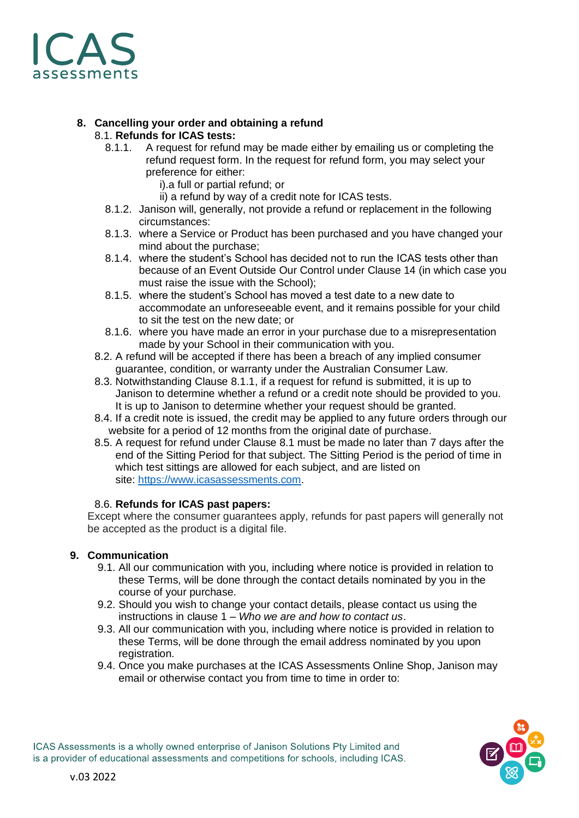

## **8. Cancelling your order and obtaining a refund** 8.1. **Refunds for ICAS tests:**

- 8.1.1. A request for refund may be made either by emailing us or completing the refund request form. In the request for refund form, you may select your preference for either:
	- i).a full or partial refund; or
	- ii) a refund by way of a credit note for ICAS tests.
- 8.1.2. Janison will, generally, not provide a refund or replacement in the following circumstances:
- 8.1.3. where a Service or Product has been purchased and you have changed your mind about the purchase;
- 8.1.4. where the student's School has decided not to run the ICAS tests other than because of an Event Outside Our Control under Clause 14 (in which case you must raise the issue with the School);
- 8.1.5. where the student's School has moved a test date to a new date to accommodate an unforeseeable event, and it remains possible for your child to sit the test on the new date; or
- 8.1.6. where you have made an error in your purchase due to a misrepresentation made by your School in their communication with you.
- 8.2. A refund will be accepted if there has been a breach of any implied consumer guarantee, condition, or warranty under the Australian Consumer Law.
- 8.3. Notwithstanding Clause 8.1.1, if a request for refund is submitted, it is up to Janison to determine whether a refund or a credit note should be provided to you. It is up to Janison to determine whether your request should be granted.
- 8.4. If a credit note is issued, the credit may be applied to any future orders through our website for a period of 12 months from the original date of purchase.
- 8.5. A request for refund under Clause 8.1 must be made no later than 7 days after the end of the Sitting Period for that subject. The Sitting Period is the period of time in which test sittings are allowed for each subject, and are listed on site: [https://www.icasassessments.com.](https://www.icasassessments.com/)

## 8.6. **Refunds for ICAS past papers:**

Except where the consumer guarantees apply, refunds for past papers will generally not be accepted as the product is a digital file.

## **9. Communication**

- 9.1. All our communication with you, including where notice is provided in relation to these Terms, will be done through the contact details nominated by you in the course of your purchase.
- 9.2. Should you wish to change your contact details, please contact us using the instructions in clause 1 – *Who we are and how to contact us*.
- 9.3. All our communication with you, including where notice is provided in relation to these Terms, will be done through the email address nominated by you upon registration.
- 9.4. Once you make purchases at the ICAS Assessments Online Shop, Janison may email or otherwise contact you from time to time in order to:

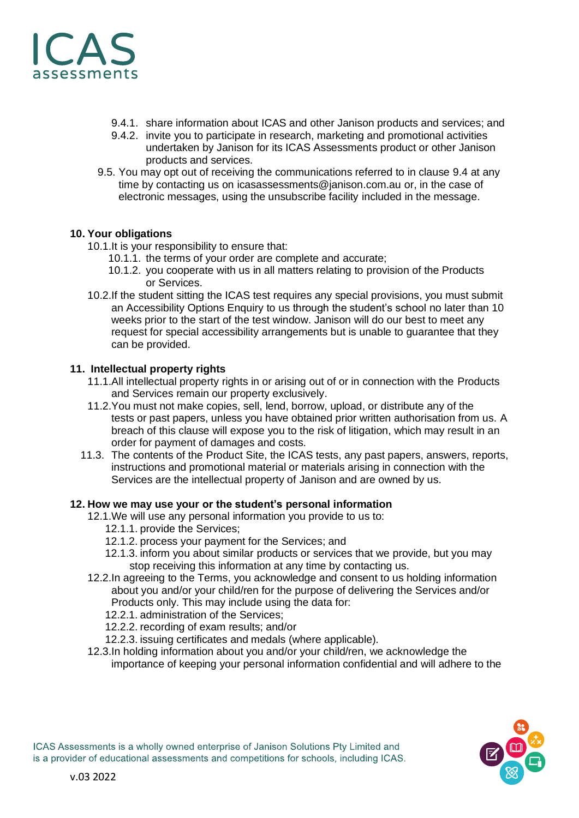

- 9.4.1. share information about ICAS and other Janison products and services; and
- 9.4.2. invite you to participate in research, marketing and promotional activities undertaken by Janison for its ICAS Assessments product or other Janison products and services.
- 9.5. You may opt out of receiving the communications referred to in clause 9.4 at any time by contacting us on [icasassessments@janison.com.au](mailto:icasassessments@janison.com.au) or, in the case of electronic messages, using the unsubscribe facility included in the message.

# **10. Your obligations**

- 10.1.It is your responsibility to ensure that:
	- 10.1.1. the terms of your order are complete and accurate;
	- 10.1.2. you cooperate with us in all matters relating to provision of the Products or Services.
- 10.2.If the student sitting the ICAS test requires any special provisions, you must submit an Accessibility Options Enquiry to us through the student's school no later than 10 weeks prior to the start of the test window. Janison will do our best to meet any request for special accessibility arrangements but is unable to guarantee that they can be provided.

## **11. Intellectual property rights**

- 11.1.All intellectual property rights in or arising out of or in connection with the Products and Services remain our property exclusively.
- 11.2.You must not make copies, sell, lend, borrow, upload, or distribute any of the tests or past papers, unless you have obtained prior written authorisation from us. A breach of this clause will expose you to the risk of litigation, which may result in an order for payment of damages and costs.
- 11.3. The contents of the Product Site, the ICAS tests, any past papers, answers, reports, instructions and promotional material or materials arising in connection with the Services are the intellectual property of Janison and are owned by us.

# **12. How we may use your or the student's personal information**

- 12.1.We will use any personal information you provide to us to:
	- 12.1.1. provide the Services;
	- 12.1.2. process your payment for the Services; and
	- 12.1.3. inform you about similar products or services that we provide, but you may stop receiving this information at any time by contacting us.
- 12.2.In agreeing to the Terms, you acknowledge and consent to us holding information about you and/or your child/ren for the purpose of delivering the Services and/or Products only. This may include using the data for:
	- 12.2.1. administration of the Services;
	- 12.2.2. recording of exam results; and/or
	- 12.2.3. issuing certificates and medals (where applicable).
- 12.3.In holding information about you and/or your child/ren, we acknowledge the importance of keeping your personal information confidential and will adhere to the

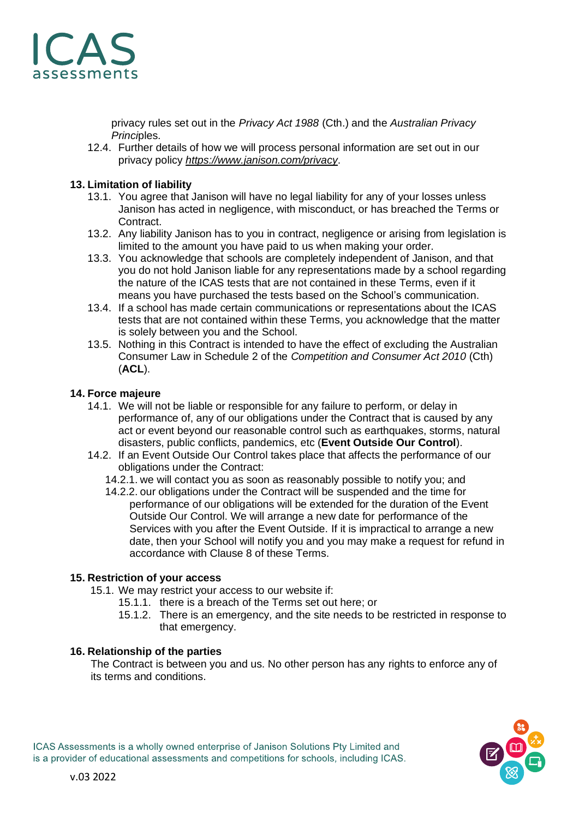

privacy rules set out in the *Privacy Act 1988* (Cth.) and the *Australian Privacy Princi*ples.

12.4. Further details of how we will process personal information are set out in our privacy policy *<https://www.janison.com/privacy>*.

## **13. Limitation of liability**

- 13.1. You agree that Janison will have no legal liability for any of your losses unless Janison has acted in negligence, with misconduct, or has breached the Terms or **Contract.**
- 13.2. Any liability Janison has to you in contract, negligence or arising from legislation is limited to the amount you have paid to us when making your order.
- 13.3. You acknowledge that schools are completely independent of Janison, and that you do not hold Janison liable for any representations made by a school regarding the nature of the ICAS tests that are not contained in these Terms, even if it means you have purchased the tests based on the School's communication.
- 13.4. If a school has made certain communications or representations about the ICAS tests that are not contained within these Terms, you acknowledge that the matter is solely between you and the School.
- 13.5. Nothing in this Contract is intended to have the effect of excluding the Australian Consumer Law in Schedule 2 of the *Competition and Consumer Act 2010* (Cth) (**ACL**).

### **14. Force majeure**

- 14.1. We will not be liable or responsible for any failure to perform, or delay in performance of, any of our obligations under the Contract that is caused by any act or event beyond our reasonable control such as earthquakes, storms, natural disasters, public conflicts, pandemics, etc (**Event Outside Our Control**).
- 14.2. If an Event Outside Our Control takes place that affects the performance of our obligations under the Contract:
	- 14.2.1. we will contact you as soon as reasonably possible to notify you; and
	- 14.2.2. our obligations under the Contract will be suspended and the time for performance of our obligations will be extended for the duration of the Event Outside Our Control. We will arrange a new date for performance of the Services with you after the Event Outside. If it is impractical to arrange a new date, then your School will notify you and you may make a request for refund in accordance with Clause 8 of these Terms.

#### **15. Restriction of your access**

- 15.1. We may restrict your access to our website if:
	- 15.1.1. there is a breach of the Terms set out here; or
		- 15.1.2. There is an emergency, and the site needs to be restricted in response to that emergency.

#### **16. Relationship of the parties**

The Contract is between you and us. No other person has any rights to enforce any of its terms and conditions.



ICAS Assessments is a wholly owned enterprise of Janison Solutions Pty Limited and is a provider of educational assessments and competitions for schools, including ICAS.